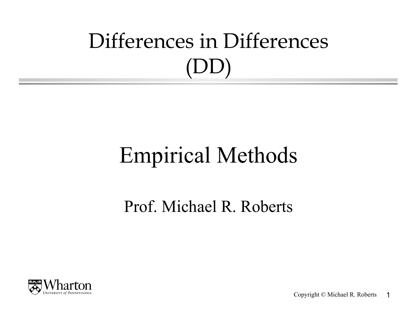# Differences in Differences (DD)

## Empirical Methods

Prof. Michael R. Roberts



Copyright © Michael R. Roberts 1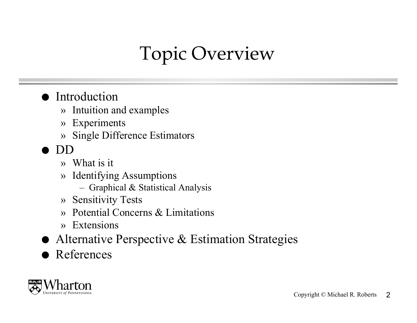### Topic Overview

#### **•** Introduction

- » Intuition and examples
- » Experiments
- » Single Difference Estimators
- DD
	- » What is it
	- » Identifying Assumptions
		- Graphical & Statistical Analysis
	- » Sensitivity Tests
	- » Potential Concerns & Limitations
	- » Extensions
- Alternative Perspective & Estimation Strategies
- **References**

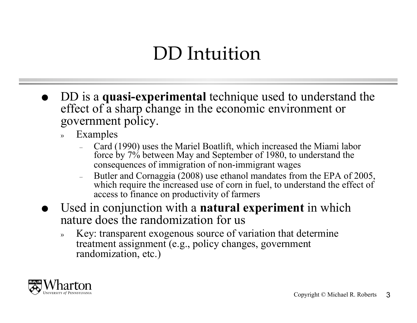### DD Intuition

- DD is a **quasi-experimental** technique used to understand the effect of a sharp change in the economic environment or government policy.
	- » Examples
		- Card (1990) uses the Mariel Boatlift, which increased the Miami labor force by 7% between May and September of 1980, to understand the consequences of immigration of non-immigrant wages
		- Butler and Cornaggia (2008) use ethanol mandates from the EPA of 2005, which require the increased use of corn in fuel, to understand the effect of access to finance on productivity of farmers
- Used in conjunction with a **natural experiment** in which nature does the randomization for us
	- » Key: transparent exogenous source of variation that determine treatment assignment (e.g., policy changes, government randomization, etc.)

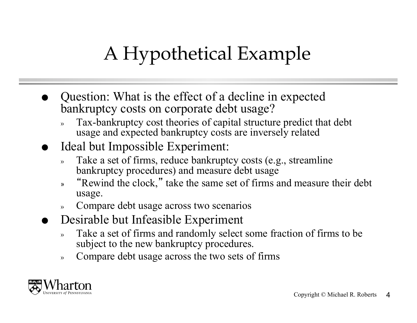## A Hypothetical Example

- Question: What is the effect of a decline in expected bankruptcy costs on corporate debt usage?
	- » Tax-bankruptcy cost theories of capital structure predict that debt usage and expected bankruptcy costs are inversely related
- Ideal but Impossible Experiment:
	- » Take a set of firms, reduce bankruptcy costs (e.g., streamline bankruptcy procedures) and measure debt usage
	- » "Rewind the clock," take the same set of firms and measure their debt usage.
	- » Compare debt usage across two scenarios
- Desirable but Infeasible Experiment
	- » Take a set of firms and randomly select some fraction of firms to be subject to the new bankruptcy procedures.
	- » Compare debt usage across the two sets of firms

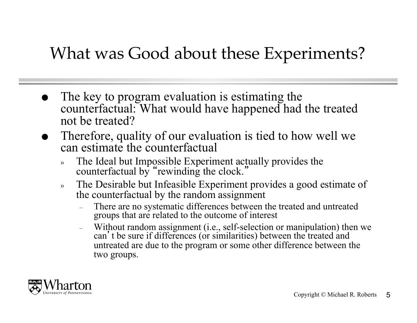#### What was Good about these Experiments?

- The key to program evaluation is estimating the counterfactual: What would have happened had the treated not be treated?
- Therefore, quality of our evaluation is tied to how well we can estimate the counterfactual
	- » The Ideal but Impossible Experiment actually provides the counterfactual by "rewinding the clock."
	- » The Desirable but Infeasible Experiment provides a good estimate of the counterfactual by the random assignment
		- There are no systematic differences between the treated and untreated groups that are related to the outcome of interest
		- Without random assignment (i.e., self-selection or manipulation) then we can 't be sure if differences (or similarities) between the treated and untreated are due to the program or some other difference between the two groups.

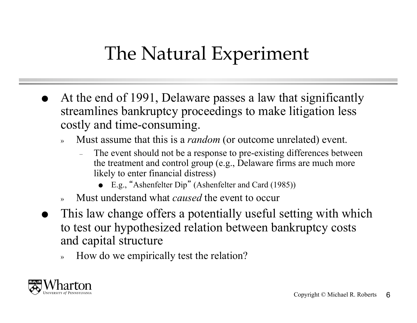### The Natural Experiment

- At the end of 1991, Delaware passes a law that significantly streamlines bankruptcy proceedings to make litigation less costly and time-consuming.
	- » Must assume that this is a *random* (or outcome unrelated) event.
		- The event should not be a response to pre-existing differences between the treatment and control group (e.g., Delaware firms are much more likely to enter financial distress)
			- E.g., "Ashenfelter Dip" (Ashenfelter and Card (1985))
	- » Must understand what *caused* the event to occur
- This law change offers a potentially useful setting with which to test our hypothesized relation between bankruptcy costs and capital structure
	- » How do we empirically test the relation?

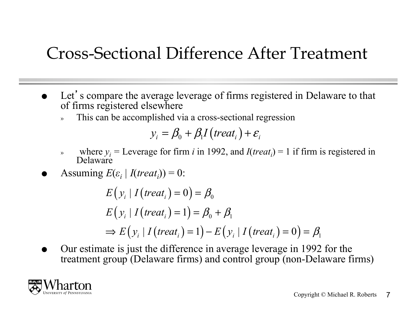#### Cross-Sectional Difference After Treatment

- Let's compare the average leverage of firms registered in Delaware to that of firms registered elsewhere
	- This can be accomplished via a cross-sectional regression

$$
y_i = \beta_0 + \beta_1 I \left( treat_i \right) + \varepsilon_i
$$

- where  $y_i$  = Leverage for firm *i* in 1992, and *I*(*treat<sub>i</sub>*) = 1 if firm is registered in Delaware
- Assuming  $E(\varepsilon_i | I(treat_i)) = 0$ :

$$
E(y_i | I(treat_i) = 0) = \beta_0
$$
  
\n
$$
E(y_i | I(treat_i) = 1) = \beta_0 + \beta_1
$$
  
\n
$$
\Rightarrow E(y_i | I(treat_i) = 1) - E(y_i | I(treat_i) = 0) = \beta_1
$$

 Our estimate is just the difference in average leverage in 1992 for the treatment group (Delaware firms) and control group (non-Delaware firms)

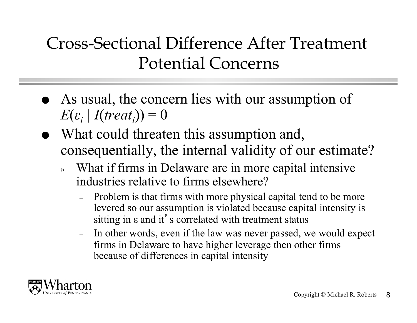#### Cross-Sectional Difference After Treatment Potential Concerns

- As usual, the concern lies with our assumption of  $E(\varepsilon_i | I(treat_i)) = 0$
- What could threaten this assumption and, consequentially, the internal validity of our estimate?
	- What if firms in Delaware are in more capital intensive industries relative to firms elsewhere?
		- Problem is that firms with more physical capital tend to be more levered so our assumption is violated because capital intensity is sitting in ε and it's correlated with treatment status
		- In other words, even if the law was never passed, we would expect firms in Delaware to have higher leverage then other firms because of differences in capital intensity

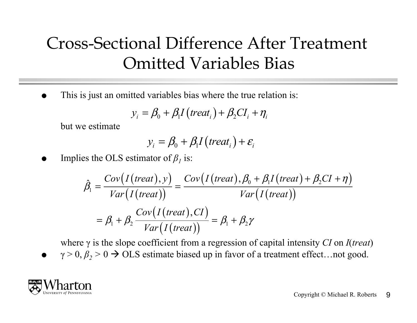#### Cross-Sectional Difference After Treatment Omitted Variables Bias

This is just an omitted variables bias where the true relation is:

$$
y_i = \beta_0 + \beta_1 I \left( treat_i \right) + \beta_2 CI_i + \eta_i
$$

but we estimate

$$
y_i = \beta_0 + \beta_1 I \big( treat_i \big) + \varepsilon_i
$$

Implies the OLS estimator of  $\beta<sub>1</sub>$  is:

$$
\hat{\beta}_1 = \frac{Cov(I(\text{treat}), y)}{\text{Var}(I(\text{treat}))} = \frac{Cov(I(\text{treat}), \beta_0 + \beta_1 I(\text{treat}) + \beta_2 CI + \eta)}{\text{Var}(I(\text{treat}))}
$$
\n
$$
= \beta_1 + \beta_2 \frac{Cov(I(\text{treat}), CI)}{\text{Var}(I(\text{treat}))} = \beta_1 + \beta_2 \gamma
$$

where γ is the slope coefficient from a regression of capital intensity *CI* on *I*(*treat*)

 $\gamma > 0$ ,  $\beta$ ,  $> 0 \rightarrow OLS$  estimate biased up in favor of a treatment effect... not good.

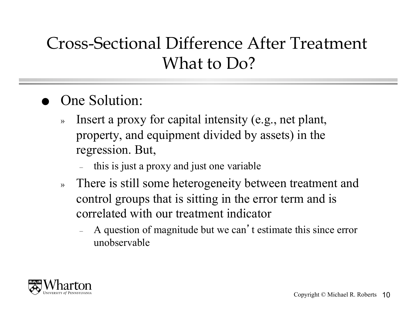#### Cross-Sectional Difference After Treatment What to Do?

- One Solution:
	- » Insert a proxy for capital intensity (e.g., net plant, property, and equipment divided by assets) in the regression. But,
		- this is just a proxy and just one variable
	- » There is still some heterogeneity between treatment and control groups that is sitting in the error term and is correlated with our treatment indicator
		- A question of magnitude but we can't estimate this since error unobservable

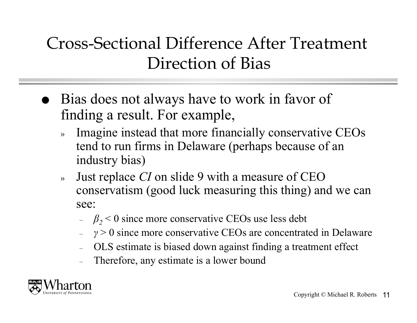#### Cross-Sectional Difference After Treatment Direction of Bias

- Bias does not always have to work in favor of finding a result. For example,
	- Imagine instead that more financially conservative CEOs tend to run firms in Delaware (perhaps because of an industry bias)
	- » Just replace *CI* on slide 9 with a measure of CEO conservatism (good luck measuring this thing) and we can see:
		- $-\beta_2$  < 0 since more conservative CEOs use less debt
		- *γ* > 0 since more conservative CEOs are concentrated in Delaware
		- OLS estimate is biased down against finding a treatment effect
		- Therefore, any estimate is a lower bound

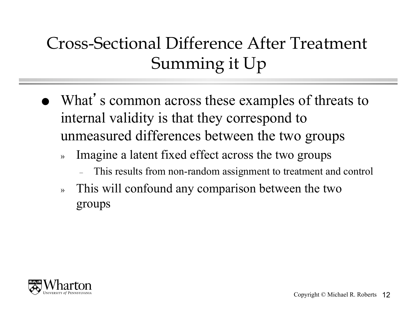### Cross-Sectional Difference After Treatment Summing it Up

- What's common across these examples of threats to internal validity is that they correspond to unmeasured differences between the two groups
	- » Imagine a latent fixed effect across the two groups
		- This results from non-random assignment to treatment and control
	- » This will confound any comparison between the two groups

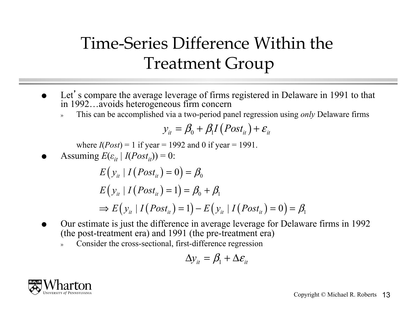### Time-Series Difference Within the Treatment Group

- Let's compare the average leverage of firms registered in Delaware in 1991 to that in 1992…avoids heterogeneous firm concern
	- » This can be accomplished via a two-period panel regression using *only* Delaware firms

$$
y_{it} = \beta_0 + \beta_1 I (Post_{it}) + \varepsilon_{it}
$$

where  $I(Post) = 1$  if year = 1992 and 0 if year = 1991.

Assuming  $E(\varepsilon_{it} | I(Post_{it})) = 0$ :

$$
E(yit | I(Postit) = 0) = \beta0
$$
  
\n
$$
E(yit | I(Postit) = 1) = \beta0 + \beta1
$$
  
\n
$$
\Rightarrow E(yit | I(Postit) = 1) - E(yit | I(Postit) = 0) = \beta1
$$

- Our estimate is just the difference in average leverage for Delaware firms in 1992 (the post-treatment era) and 1991 (the pre-treatment era)
	- Consider the cross-sectional, first-difference regression

$$
\Delta y_{it} = \beta_1 + \Delta \varepsilon_{it}
$$

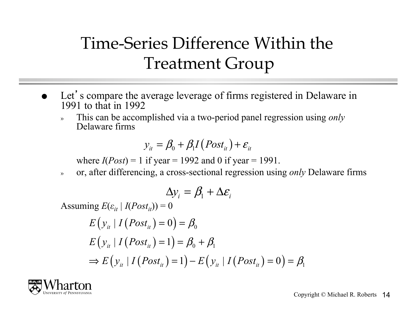#### Time-Series Difference Within the Treatment Group

- Let's compare the average leverage of firms registered in Delaware in 1991 to that in 1992
	- » This can be accomplished via a two-period panel regression using *only* Delaware firms

$$
y_{it} = \beta_0 + \beta_1 I (Post_{it}) + \varepsilon_{it}
$$

where  $I(Post) = 1$  if year = 1992 and 0 if year = 1991.

» or, after differencing, a cross-sectional regression using *only* Delaware firms

$$
\Delta y_i = \beta_1 + \Delta \varepsilon_i
$$

Assuming  $E(\varepsilon_{it} | I(Post_{it})) = 0$ 

$$
E(yit | I(Postit) = 0) = \beta0
$$
  
\n
$$
E(yit | I(Postit) = 1) = \beta0 + \beta1
$$
  
\n
$$
\Rightarrow E(yit | I(Postit) = 1) - E(yit | I(Postit) = 0) = \beta1
$$

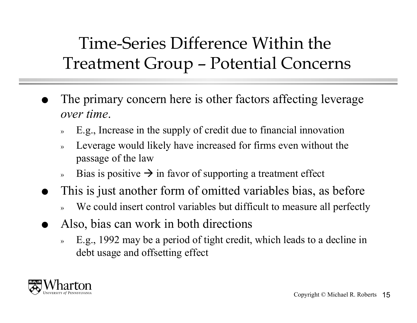Time-Series Difference Within the Treatment Group – Potential Concerns

- The primary concern here is other factors affecting leverage *over time*.
	- » E.g., Increase in the supply of credit due to financial innovation
	- Leverage would likely have increased for firms even without the passage of the law
	- » Bias is positive  $\rightarrow$  in favor of supporting a treatment effect
- This is just another form of omitted variables bias, as before
	- We could insert control variables but difficult to measure all perfectly
- Also, bias can work in both directions
	- » E.g., 1992 may be a period of tight credit, which leads to a decline in debt usage and offsetting effect

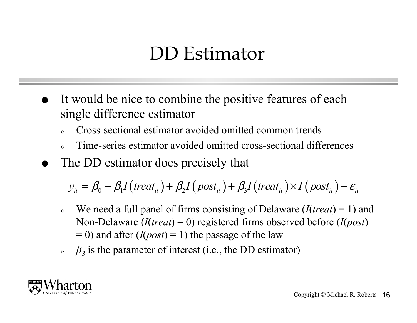#### DD Estimator

- It would be nice to combine the positive features of each single difference estimator
	- » Cross-sectional estimator avoided omitted common trends
	- » Time-series estimator avoided omitted cross-sectional differences
- The DD estimator does precisely that

 $y_{it} = \beta_0 + \beta_1 I (treat_{it}) + \beta_2 I (post_{it}) + \beta_3 I (treat_{it}) \times I (post_{it}) + \varepsilon_{it}$ 

- » We need a full panel of firms consisting of Delaware (*I*(*treat*) = 1) and Non-Delaware (*I*(*treat*) = 0) registered firms observed before (*I*(*post*)  $= 0$ ) and after (*I*(*post*) = 1) the passage of the law
- »  $β_3$  is the parameter of interest (i.e., the DD estimator)

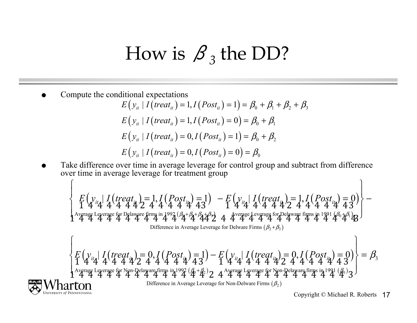### How is  $\beta_3$  the DD?

Compute the conditional expectations

NIVERSITY of PENNSYLVANIA

$$
E(y_{it} | I(treat_{it}) = 1, I(Post_{it}) = 1) = \beta_0 + \beta_1 + \beta_2 + \beta_3
$$
  
\n
$$
E(y_{it} | I(treat_{it}) = 1, I(Post_{it}) = 0) = \beta_0 + \beta_1
$$
  
\n
$$
E(y_{it} | I(treat_{it}) = 0, I(Post_{it}) = 1) = \beta_0 + \beta_2
$$
  
\n
$$
E(y_{it} | I(treat_{it}) = 0, I(Post_{it}) = 0) = \beta_0
$$

• Take difference over time in average leverage for control group and subtract from difference over time in average leverage for treatment group

$$
\begin{aligned}\n&\begin{aligned}\n&\frac{F(y_{ii_4})}{4} & \frac{I(treat_i)}{4} = 1, I(Post_{ii_4}) = 1) - F(y_{ii_4}) & \frac{I(treat_i)}{4} = 1, I(Post_{ii_4}) = 0 \\
&\frac{1}{4} & \frac{1}{4} & \frac{1}{4} & \frac{1}{4} & \frac{1}{4} & \frac{1}{4} & \frac{1}{4} & \frac{1}{4} & \frac{1}{4} & \frac{1}{4} & \frac{1}{4} & \frac{1}{4} & \frac{1}{4} & \frac{1}{4} & \frac{1}{4} & \frac{1}{4} & \frac{1}{4} & \frac{1}{4} & \frac{1}{4} & \frac{1}{4} & \frac{1}{4} & \frac{1}{4} & \frac{1}{4} & \frac{1}{4} & \frac{1}{4} & \frac{1}{4} & \frac{1}{4} & \frac{1}{4} & \frac{1}{4} & \frac{1}{4} & \frac{1}{4} & \frac{1}{4} & \frac{1}{4} & \frac{1}{4} & \frac{1}{4} & \frac{1}{4} & \frac{1}{4} & \frac{1}{4} & \frac{1}{4} & \frac{1}{4} & \frac{1}{4} & \frac{1}{4} & \frac{1}{4} & \frac{1}{4} & \frac{1}{4} & \frac{1}{4} & \frac{1}{4} & \frac{1}{4} & \frac{1}{4} & \frac{1}{4} & \frac{1}{4} & \frac{1}{4} & \frac{1}{4} & \frac{1}{4} & \frac{1}{4} & \frac{1}{4} & \frac{1}{4} & \frac{1}{4} & \frac{1}{4} & \frac{1}{4} & \frac{1}{4} & \frac{1}{4} & \frac{1}{4} & \frac{1}{4} & \frac{1}{4} & \frac{1}{4} & \frac{1
$$

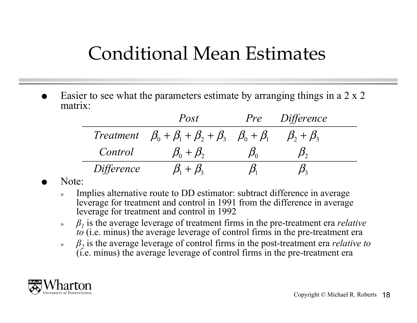#### Conditional Mean Estimates

 Easier to see what the parameters estimate by arranging things in a 2 x 2 matrix:

|                   | Post                                                                  | <i>Pre</i> | <i>Difference</i>   |
|-------------------|-----------------------------------------------------------------------|------------|---------------------|
|                   | Treatment $\beta_0 + \beta_1 + \beta_2 + \beta_3$ $\beta_0 + \beta_1$ |            | $\beta_2 + \beta_3$ |
| Control           | $\beta_0 + \beta_2$                                                   |            |                     |
| <i>Difference</i> | $B_{1} + B_{2}$                                                       |            |                     |

Note:

- Implies alternative route to DD estimator: subtract difference in average leverage for treatment and control in 1991 from the difference in average leverage for treatment and control in 1992
- » *β1* is the average leverage of treatment firms in the pre-treatment era *relative to* (i.e. minus) the average leverage of control firms in the pre-treatment era
- $\beta$ <sup>2</sup> is the average leverage of control firms in the post-treatment era *relative* to (i.e. minus) the average leverage of control firms in the pre-treatment era

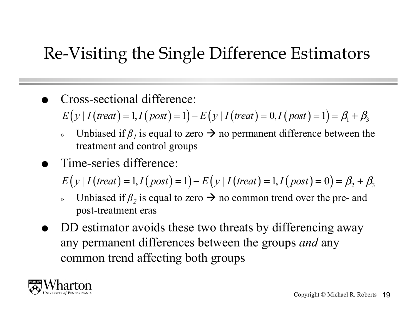#### Re-Visiting the Single Difference Estimators

Cross-sectional difference:

$$
E(y | I(treat) = 1, I(post) = 1) - E(y | I(treat) = 0, I(post) = 1) = \beta_1 + \beta_3
$$

- » Unbiased if  $β_1$  is equal to zero  $\rightarrow$  no permanent difference between the treatment and control groups
- Time-series difference:

 $E(y | I (treat) = 1, I (post) = 1) - E(y | I (treat) = 1, I (post) = 0) = \beta_2 + \beta_3$ 

- Unbiased if  $\beta$ <sup>2</sup> is equal to zero  $\rightarrow$  no common trend over the pre- and post-treatment eras
- DD estimator avoids these two threats by differencing away any permanent differences between the groups *and* any common trend affecting both groups

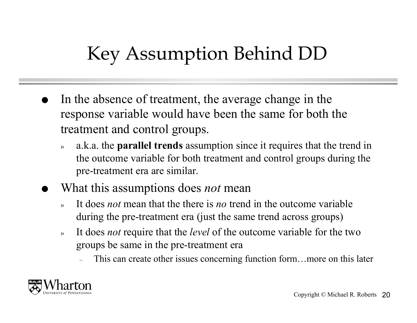### Key Assumption Behind DD

- In the absence of treatment, the average change in the response variable would have been the same for both the treatment and control groups.
	- » a.k.a. the **parallel trends** assumption since it requires that the trend in the outcome variable for both treatment and control groups during the pre-treatment era are similar.
- What this assumptions does *not* mean
	- » It does *not* mean that the there is *no* trend in the outcome variable during the pre-treatment era (just the same trend across groups)
	- » It does *not* require that the *level* of the outcome variable for the two groups be same in the pre-treatment era
		- This can create other issues concerning function form…more on this later

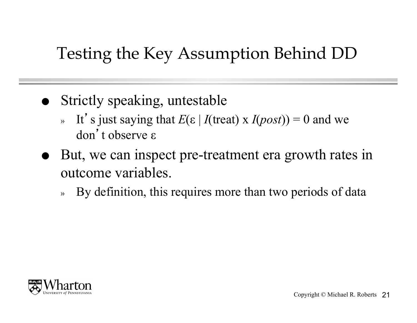#### Testing the Key Assumption Behind DD

- Strictly speaking, untestable
	- » It's just saying that  $E(\varepsilon | I(\text{treat}) \times I(\text{post})) = 0$  and we don't observe ε
- But, we can inspect pre-treatment era growth rates in outcome variables.
	- » By definition, this requires more than two periods of data

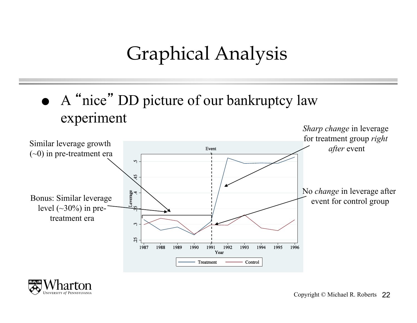### Graphical Analysis

 A "nice" DD picture of our bankruptcy law experiment



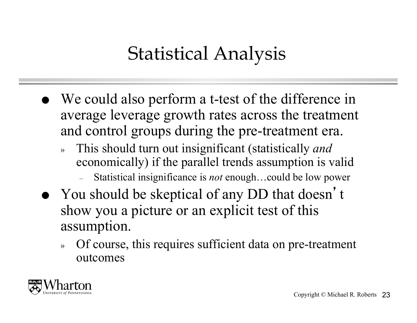### Statistical Analysis

- We could also perform a t-test of the difference in average leverage growth rates across the treatment and control groups during the pre-treatment era.
	- » This should turn out insignificant (statistically *and* economically) if the parallel trends assumption is valid
		- Statistical insignificance is *not* enough…could be low power
- You should be skeptical of any DD that doesn't show you a picture or an explicit test of this assumption.
	- » Of course, this requires sufficient data on pre-treatment outcomes

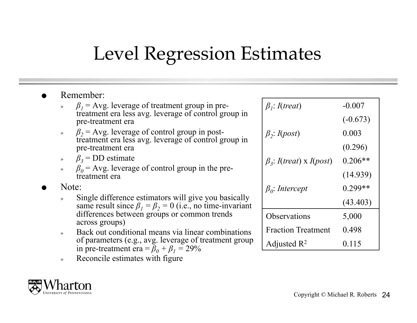### Level Regression Estimates

- Remember:
	- $\beta_1$  = Avg. leverage of treatment group in pretreatment era less avg. leverage of control group in pre-treatment era
	- »  $β<sub>2</sub> = Avg.$  leverage of control group in posttreatment era less avg. leverage of control group in pre-treatment era
	- » *β<sup>3</sup>* = DD estimate
	- »  $β<sub>0</sub> = Avg.$  leverage of control group in the pretreatment era
- Note:
	- » Single difference estimators will give you basically same result since  $\beta_1 = \beta_2 = 0$  (i.e., no time-invariant differences between groups or common trends across groups)
	- » Back out conditional means via linear combinations of parameters (e.g., avg. leverage of treatment group in pre-treatment era =  $\bar{\beta}_0 + \beta_1 = 29\%$
	- » Reconcile estimates with figure



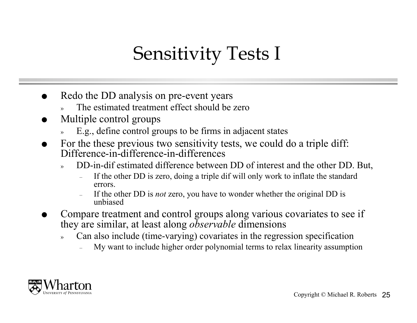### Sensitivity Tests I

- Redo the DD analysis on pre-event years
	- The estimated treatment effect should be zero
- Multiple control groups
	- » E.g., define control groups to be firms in adjacent states
- For the these previous two sensitivity tests, we could do a triple diff: Difference-in-difference-in-differences
	- » DD-in-dif estimated difference between DD of interest and the other DD. But,
		- If the other DD is zero, doing a triple dif will only work to inflate the standard errors.
		- If the other DD is *not* zero, you have to wonder whether the original DD is unbiased
- Compare treatment and control groups along various covariates to see if they are similar, at least along *observable* dimensions
	- » Can also include (time-varying) covariates in the regression specification
		- My want to include higher order polynomial terms to relax linearity assumption

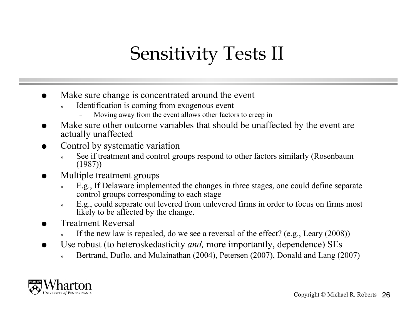### Sensitivity Tests II

- Make sure change is concentrated around the event
	- Identification is coming from exogenous event
		- Moving away from the event allows other factors to creep in
- Make sure other outcome variables that should be unaffected by the event are actually unaffected
- Control by systematic variation
	- See if treatment and control groups respond to other factors similarly (Rosenbaum (1987))
- Multiple treatment groups
	- » E.g., If Delaware implemented the changes in three stages, one could define separate control groups corresponding to each stage
	- » E.g., could separate out levered from unlevered firms in order to focus on firms most likely to be affected by the change.
- Treatment Reversal
	- If the new law is repealed, do we see a reversal of the effect? (e.g., Leary  $(2008)$ )
- Use robust (to heteroskedasticity *and,* more importantly, dependence) SEs
	- Bertrand, Duflo, and Mulainathan (2004), Petersen (2007), Donald and Lang (2007)

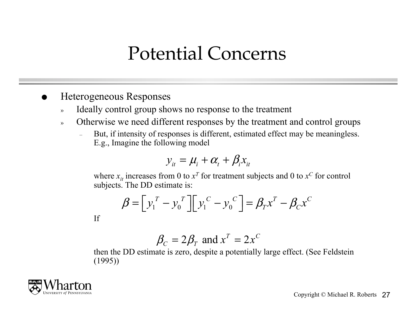#### Potential Concerns

- Heterogeneous Responses
	- » Ideally control group shows no response to the treatment
	- » Otherwise we need different responses by the treatment and control groups
		- But, if intensity of responses is different, estimated effect may be meaningless. E.g., Imagine the following model

$$
y_{it} = \mu_i + \alpha_t + \beta_i x_{it}
$$

where  $x_{it}$  increases from 0 to  $x^T$  for treatment subjects and 0 to  $x^C$  for control subjects. The DD estimate is:

$$
\boldsymbol{\beta} = \left[ y_1^T - y_0^T \right] \left[ y_1^C - y_0^C \right] = \boldsymbol{\beta}_T \boldsymbol{x}^T - \boldsymbol{\beta}_C \boldsymbol{x}^C
$$

$$
\rm If
$$

$$
\beta_C = 2\beta_T \text{ and } x^T = 2x^C
$$

then the DD estimate is zero, despite a potentially large effect. (See Feldstein (1995))

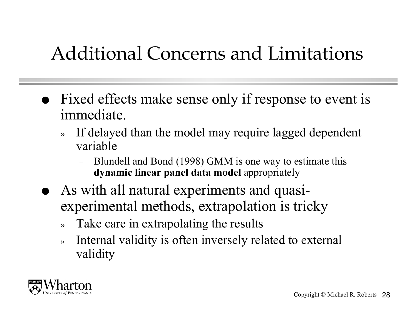### Additional Concerns and Limitations

- Fixed effects make sense only if response to event is immediate.
	- » If delayed than the model may require lagged dependent variable
		- Blundell and Bond (1998) GMM is one way to estimate this **dynamic linear panel data model** appropriately
	- As with all natural experiments and quasiexperimental methods, extrapolation is tricky
		- » Take care in extrapolating the results
		- » Internal validity is often inversely related to external validity

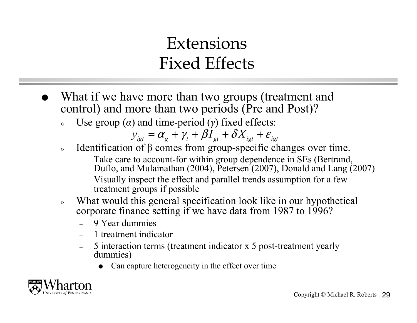#### **Extensions** Fixed Effects

- What if we have more than two groups (treatment and control) and more than two periods (Pre and Post)?
	- Use group  $(\alpha)$  and time-period  $(\gamma)$  fixed effects:

$$
y_{igt} = \alpha_g + \gamma_t + \beta I_{gt} + \delta X_{igt} + \varepsilon_{igt}
$$

- » Identification of β comes from group-specific changes over time.
	- Take care to account-for within group dependence in SEs (Bertrand, Duflo, and Mulainathan (2004), Petersen (2007), Donald and Lang (2007)
	- Visually inspect the effect and parallel trends assumption for a few treatment groups if possible
- » What would this general specification look like in our hypothetical corporate finance setting if we have data from 1987 to 1996?
	- 9 Year dummies
	- 1 treatment indicator
	- 5 interaction terms (treatment indicator x 5 post-treatment yearly dummies)
		- Can capture heterogeneity in the effect over time

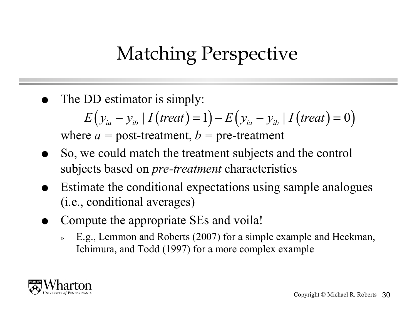### Matching Perspective

The DD estimator is simply:

$$
E(y_{ia} - y_{ib} | I(treat) = 1) - E(y_{ia} - y_{ib} | I(treat) = 0)
$$

where  $a =$  post-treatment,  $b =$  pre-treatment

- So, we could match the treatment subjects and the control subjects based on *pre-treatment* characteristics
- Estimate the conditional expectations using sample analogues (i.e., conditional averages)
- Compute the appropriate SEs and voila!
	- » E.g., Lemmon and Roberts (2007) for a simple example and Heckman, Ichimura, and Todd (1997) for a more complex example

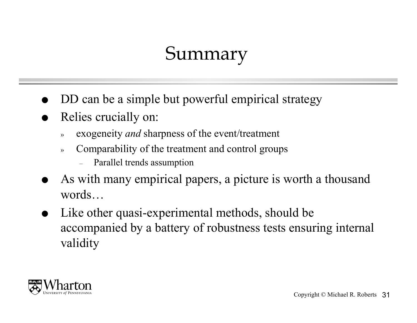### Summary

- DD can be a simple but powerful empirical strategy
- Relies crucially on:
	- » exogeneity *and* sharpness of the event/treatment
	- » Comparability of the treatment and control groups
		- Parallel trends assumption
- As with many empirical papers, a picture is worth a thousand words…
- Like other quasi-experimental methods, should be accompanied by a battery of robustness tests ensuring internal validity

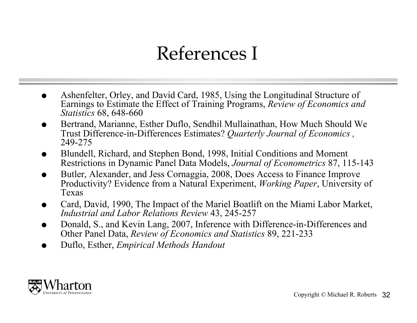### References I

- Ashenfelter, Orley, and David Card, 1985, Using the Longitudinal Structure of Earnings to Estimate the Effect of Training Programs, *Review of Economics and Statistics* 68, 648-660
- Bertrand, Marianne, Esther Duflo, Sendhil Mullainathan, How Much Should We Trust Difference-in-Differences Estimates? *Quarterly Journal of Economics ,*  249-275
- Blundell, Richard, and Stephen Bond, 1998, Initial Conditions and Moment Restrictions in Dynamic Panel Data Models, *Journal of Econometrics* 87, 115-143
- Butler, Alexander, and Jess Cornaggia, 2008, Does Access to Finance Improve Productivity? Evidence from a Natural Experiment, *Working Paper*, University of Texas
- Card, David, 1990, The Impact of the Mariel Boatlift on the Miami Labor Market, *Industrial and Labor Relations Review* 43, 245-257
- Donald, S., and Kevin Lang, 2007, Inference with Difference-in-Differences and Other Panel Data, *Review of Economics and Statistics* 89, 221-233
- Duflo, Esther, *Empirical Methods Handout*